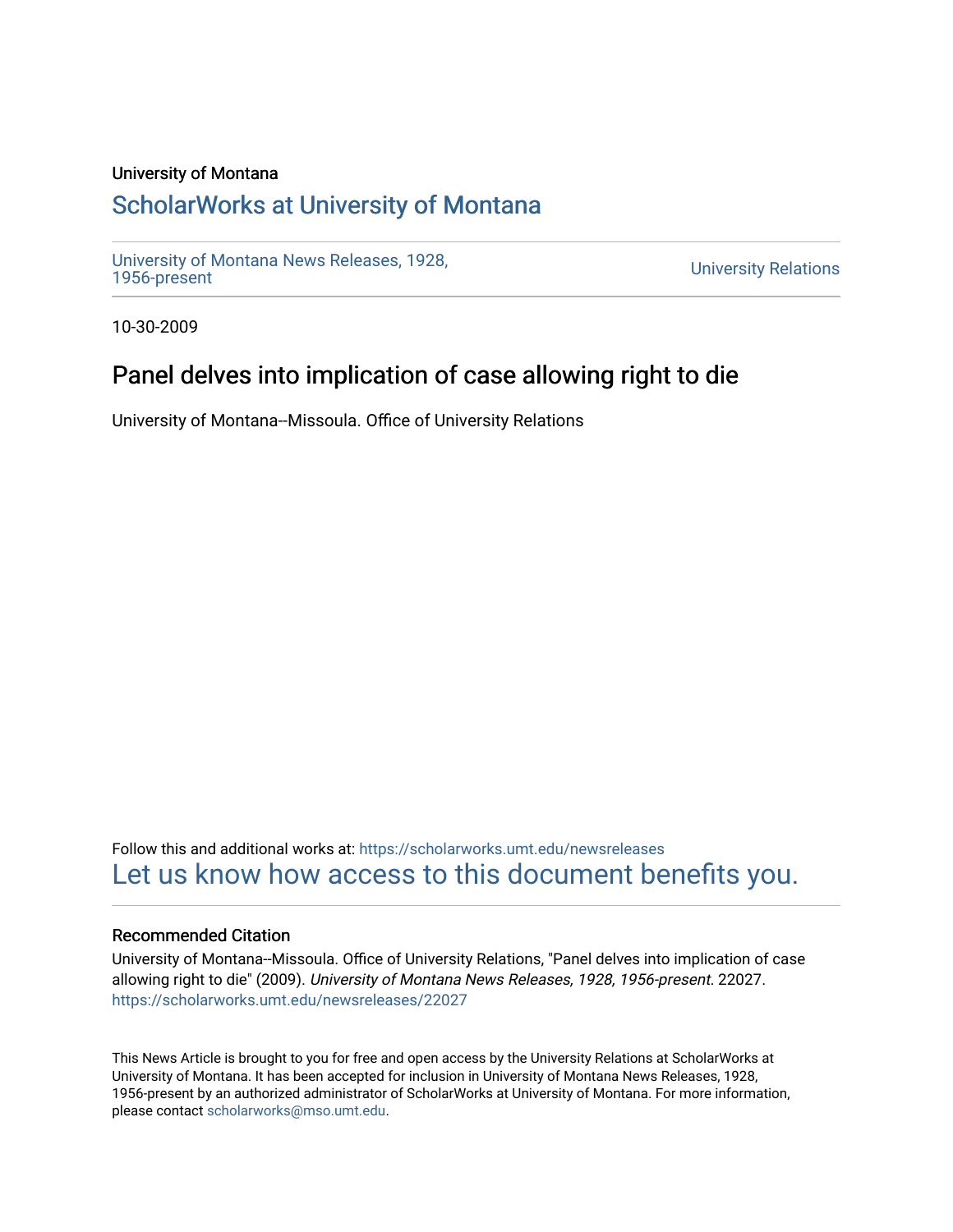### University of Montana

# [ScholarWorks at University of Montana](https://scholarworks.umt.edu/)

[University of Montana News Releases, 1928,](https://scholarworks.umt.edu/newsreleases) 

**University Relations** 

10-30-2009

# Panel delves into implication of case allowing right to die

University of Montana--Missoula. Office of University Relations

Follow this and additional works at: [https://scholarworks.umt.edu/newsreleases](https://scholarworks.umt.edu/newsreleases?utm_source=scholarworks.umt.edu%2Fnewsreleases%2F22027&utm_medium=PDF&utm_campaign=PDFCoverPages) [Let us know how access to this document benefits you.](https://goo.gl/forms/s2rGfXOLzz71qgsB2) 

### Recommended Citation

University of Montana--Missoula. Office of University Relations, "Panel delves into implication of case allowing right to die" (2009). University of Montana News Releases, 1928, 1956-present. 22027. [https://scholarworks.umt.edu/newsreleases/22027](https://scholarworks.umt.edu/newsreleases/22027?utm_source=scholarworks.umt.edu%2Fnewsreleases%2F22027&utm_medium=PDF&utm_campaign=PDFCoverPages) 

This News Article is brought to you for free and open access by the University Relations at ScholarWorks at University of Montana. It has been accepted for inclusion in University of Montana News Releases, 1928, 1956-present by an authorized administrator of ScholarWorks at University of Montana. For more information, please contact [scholarworks@mso.umt.edu.](mailto:scholarworks@mso.umt.edu)